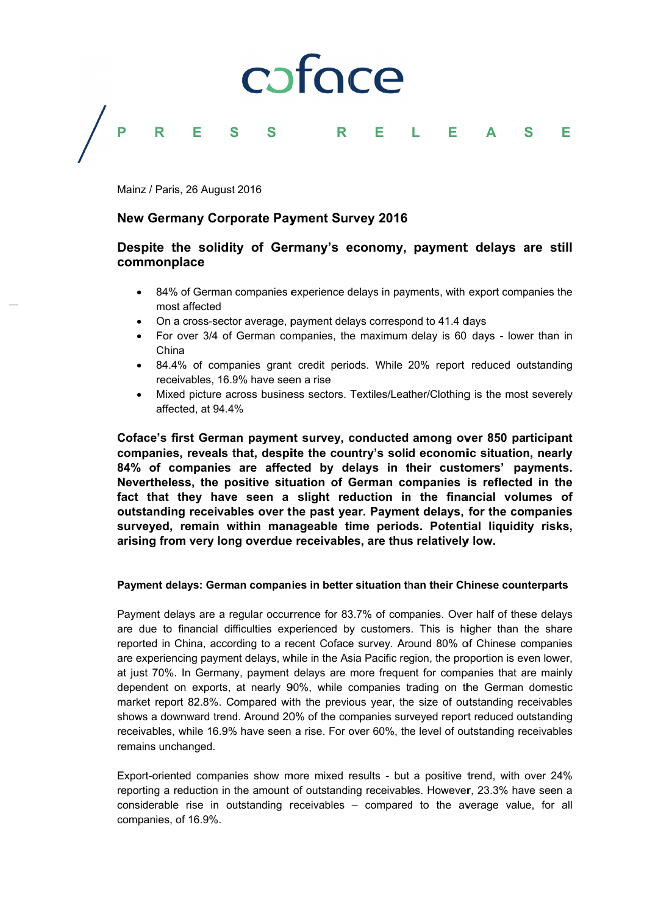

#### P Е S R S R E S E Е L A

Mainz / Paris, 26 August 2016

# **New Germany Corporate Payment Survey 2016**

# Despite the solidity of Germany's economy, payment delays are still commonplace

- 84% of German companies experience delays in payments, with export companies the most affected
- On a cross-sector average, payment delays correspond to 41.4 days
- For over 3/4 of German companies, the maximum delay is 60 days lower than in China
- 84.4% of companies grant credit periods. While 20% report reduced outstanding receivables, 16.9% have seen a rise
- Mixed picture across business sectors. Textiles/Leather/Clothing is the most severely affected, at 94.4%

Coface's first German payment survey, conducted among over 850 participant companies, reveals that, despite the country's solid economic situation, nearly 84% of companies are affected by delays in their customers' payments. Nevertheless, the positive situation of German companies is reflected in the fact that they have seen a slight reduction in the financial volumes of outstanding receivables over the past year. Payment delays, for the companies surveyed, remain within manageable time periods. Potential liquidity risks, arising from very long overdue receivables, are thus relatively low.

## Payment delays: German companies in better situation than their Chinese counterparts

Payment delays are a regular occurrence for 83.7% of companies. Over half of these delays are due to financial difficulties experienced by customers. This is higher than the share reported in China, according to a recent Coface survey. Around 80% of Chinese companies are experiencing payment delays, while in the Asia Pacific region, the proportion is even lower, at just 70%. In Germany, payment delays are more frequent for companies that are mainly dependent on exports, at nearly 90%, while companies trading on the German domestic market report 82.8%. Compared with the previous year, the size of outstanding receivables shows a downward trend. Around 20% of the companies surveyed report reduced outstanding receivables, while 16.9% have seen a rise. For over 60%, the level of outstanding receivables remains unchanged.

Export-oriented companies show more mixed results - but a positive trend, with over 24% reporting a reduction in the amount of outstanding receivables. However, 23.3% have seen a considerable rise in outstanding receivables - compared to the average value, for all companies, of 16.9%.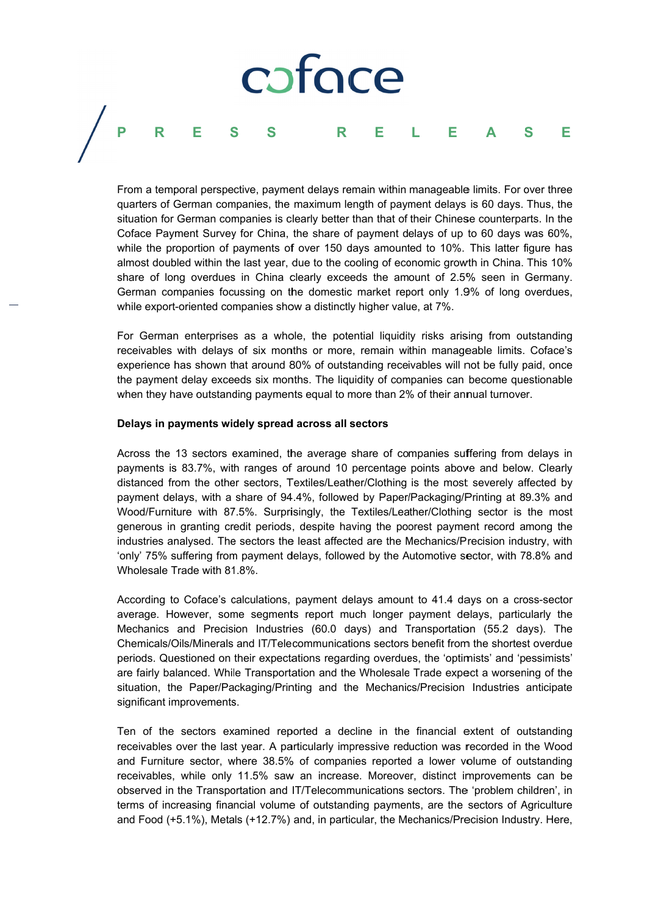#### coface P E R S S R S Е Е Е L Α

From a temporal perspective, payment delays remain within manageable limits. For over three quarters of German companies, the maximum length of payment delays is 60 days. Thus, the situation for German companies is clearly better than that of their Chinese counterparts. In the Coface Payment Survey for China, the share of payment delays of up to 60 days was 60%. while the proportion of payments of over 150 days amounted to 10%. This latter figure has almost doubled within the last vear, due to the cooling of economic growth in China. This 10% share of long overdues in China clearly exceeds the amount of 2.5% seen in Germany. German companies focussing on the domestic market report only 1.9% of long overdues. while export-oriented companies show a distinctly higher value, at 7%.

For German enterprises as a whole, the potential liquidity risks arising from outstanding receivables with delays of six months or more, remain within manageable limits. Coface's experience has shown that around 80% of outstanding receivables will not be fully paid, once the payment delay exceeds six months. The liquidity of companies can become questionable when they have outstanding payments equal to more than 2% of their annual turnover.

### Delays in payments widely spread across all sectors

Across the 13 sectors examined, the average share of companies suffering from delays in payments is 83.7%, with ranges of around 10 percentage points above and below. Clearly distanced from the other sectors, Textiles/Leather/Clothing is the most severely affected by payment delays, with a share of 94.4%, followed by Paper/Packaging/Printing at 89.3% and Wood/Furniture with 87.5%. Surprisingly, the Textiles/Leather/Clothing sector is the most generous in granting credit periods, despite having the poorest payment record among the industries analysed. The sectors the least affected are the Mechanics/Precision industry, with 'only' 75% suffering from payment delays, followed by the Automotive sector, with 78.8% and Wholesale Trade with 81.8%.

According to Coface's calculations, payment delays amount to 41.4 days on a cross-sector average. However, some segments report much longer payment delays, particularly the Mechanics and Precision Industries (60.0 days) and Transportation (55.2 days). The Chemicals/Oils/Minerals and IT/Telecommunications sectors benefit from the shortest overdue periods. Questioned on their expectations regarding overdues, the 'optimists' and 'pessimists' are fairly balanced. While Transportation and the Wholesale Trade expect a worsening of the situation, the Paper/Packaging/Printing and the Mechanics/Precision Industries anticipate significant improvements.

Ten of the sectors examined reported a decline in the financial extent of outstanding receivables over the last year. A particularly impressive reduction was recorded in the Wood and Furniture sector, where 38.5% of companies reported a lower volume of outstanding receivables, while only 11.5% saw an increase. Moreover, distinct improvements can be observed in the Transportation and IT/Telecommunications sectors. The 'problem children', in terms of increasing financial volume of outstanding payments, are the sectors of Agriculture and Food (+5.1%), Metals (+12.7%) and, in particular, the Mechanics/Precision Industry. Here,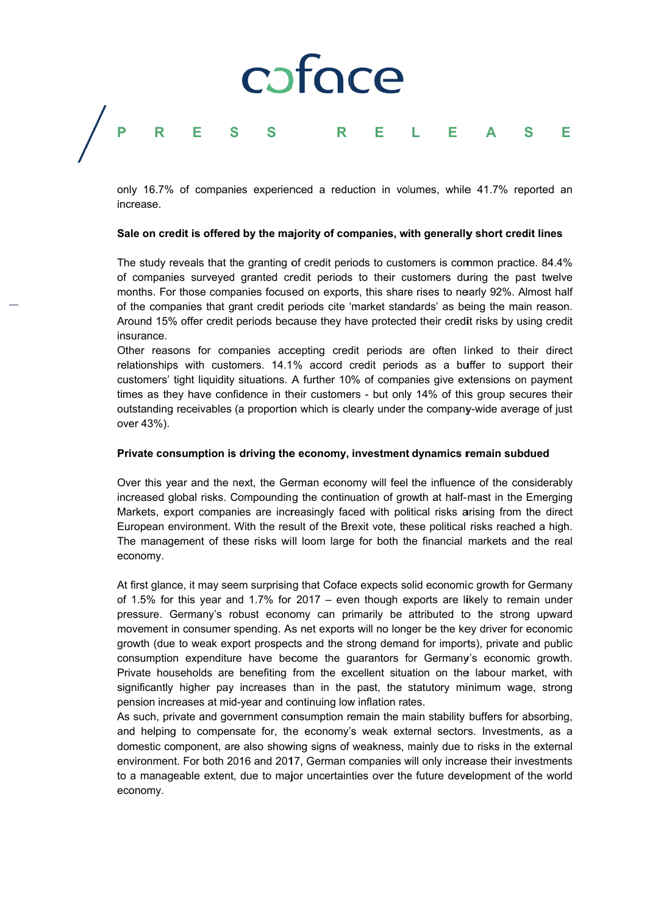#### coface P Ė R S S S Е R Е Е L Α

only 16.7% of companies experienced a reduction in volumes, while 41.7% reported an increase.

#### Sale on credit is offered by the maiority of companies, with generally short credit lines

The study reveals that the granting of credit periods to customers is common practice, 84.4% of companies surveyed granted credit periods to their customers during the past twelve months. For those companies focused on exports, this share rises to nearly 92%. Almost half of the companies that grant credit periods cite 'market standards' as being the main reason. Around 15% offer credit periods because they have protected their credit risks by using credit insurance.

Other reasons for companies accepting credit periods are often linked to their direct relationships with customers. 14.1% accord credit periods as a buffer to support their customers' tight liquidity situations. A further 10% of companies give extensions on payment times as they have confidence in their customers - but only 14% of this group secures their outstanding receivables (a proportion which is clearly under the company-wide average of just over 43%).

#### Private consumption is driving the economy, investment dynamics remain subdued

Over this year and the next, the German economy will feel the influence of the considerably increased global risks. Compounding the continuation of growth at half-mast in the Emerging Markets, export companies are increasingly faced with political risks arising from the direct European environment. With the result of the Brexit vote, these political risks reached a high. The management of these risks will loom large for both the financial markets and the real economy.

At first glance, it may seem surprising that Coface expects solid economic growth for Germany of 1.5% for this year and 1.7% for 2017 – even though exports are likely to remain under pressure. Germany's robust economy can primarily be attributed to the strong upward movement in consumer spending. As net exports will no longer be the key driver for economic growth (due to weak export prospects and the strong demand for imports), private and public consumption expenditure have become the guarantors for Germany's economic growth. Private households are benefiting from the excellent situation on the labour market, with significantly higher pay increases than in the past, the statutory minimum wage, strong pension increases at mid-year and continuing low inflation rates.

As such, private and government consumption remain the main stability buffers for absorbing, and helping to compensate for, the economy's weak external sectors. Investments, as a domestic component, are also showing signs of weakness, mainly due to risks in the external environment. For both 2016 and 2017, German companies will only increase their investments to a manageable extent, due to major uncertainties over the future development of the world economy.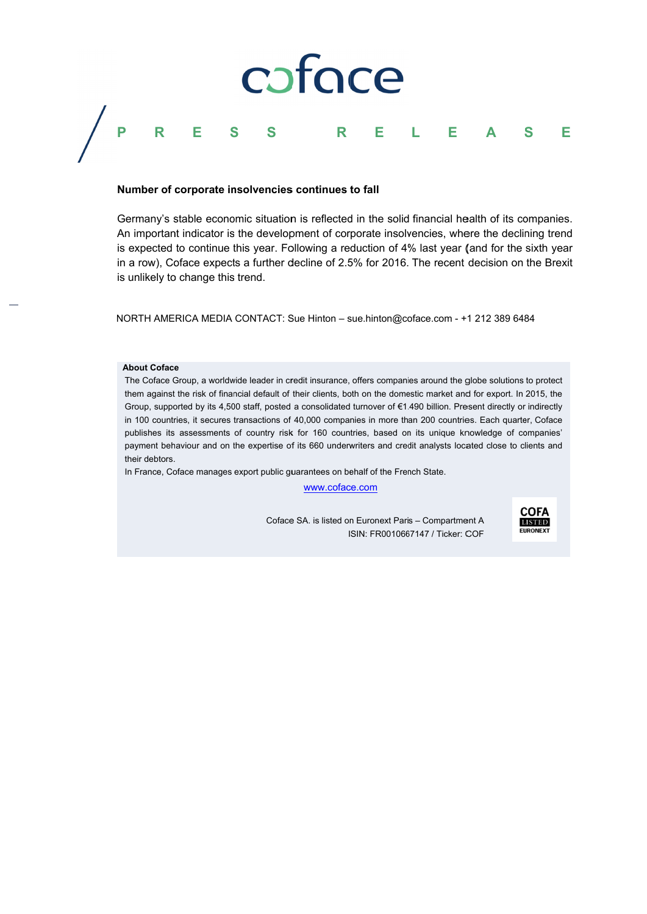

#### Number of corporate insolvencies continues to fall

Germany's stable economic situation is reflected in the solid financial health of its companies. An important indicator is the development of corporate insolvencies, where the declining trend is expected to continue this year. Following a reduction of 4% last year (and for the sixth year in a row), Coface expects a further decline of 2.5% for 2016. The recent decision on the Brexit is unlikely to change this trend.

NORTH AMERICA MEDIA CONTACT: Sue Hinton - sue.hinton@coface.com - +1 212 389 6484

#### **About Coface**

The Coface Group, a worldwide leader in credit insurance, offers companies around the globe solutions to protect them against the risk of financial default of their clients, both on the domestic market and for export. In 2015, the Group, supported by its 4,500 staff, posted a consolidated turnover of €1.490 billion. Present directly or indirectly in 100 countries, it secures transactions of 40,000 companies in more than 200 countries. Each quarter, Coface publishes its assessments of country risk for 160 countries, based on its unique knowledge of companies' payment behaviour and on the expertise of its 660 underwriters and credit analysts located close to clients and their debtors.

In France, Coface manages export public guarantees on behalf of the French State.

www.coface.com

Coface SA. is listed on Euronext Paris - Compartment A ISIN: FR0010667147 / Ticker: COF